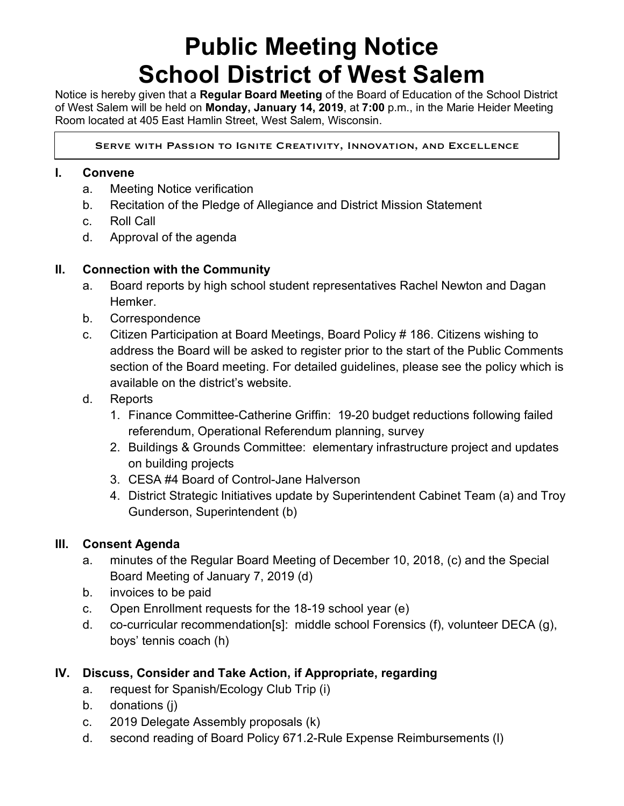# **Public Meeting Notice School District of West Salem**

Notice is hereby given that a **Regular Board Meeting** of the Board of Education of the School District of West Salem will be held on **Monday, January 14, 2019**, at **7:00** p.m., in the Marie Heider Meeting Room located at 405 East Hamlin Street, West Salem, Wisconsin.

Serve with Passion to Ignite Creativity, Innovation, and Excellence

#### **I. Convene**

 $\overline{a}$ 

- a. Meeting Notice verification
- b. Recitation of the Pledge of Allegiance and District Mission Statement
- c. Roll Call
- d. Approval of the agenda

#### **II. Connection with the Community**

- a. Board reports by high school student representatives Rachel Newton and Dagan Hemker.
- b. Correspondence
- c. Citizen Participation at Board Meetings, Board Policy # 186. Citizens wishing to address the Board will be asked to register prior to the start of the Public Comments section of the Board meeting. For detailed guidelines, please see the policy which is available on the district's website.
- d. Reports
	- 1. Finance Committee-Catherine Griffin: 19-20 budget reductions following failed referendum, Operational Referendum planning, survey
	- 2. Buildings & Grounds Committee: elementary infrastructure project and updates on building projects
	- 3. CESA #4 Board of Control-Jane Halverson
	- 4. District Strategic Initiatives update by Superintendent Cabinet Team (a) and Troy Gunderson, Superintendent (b)

#### **III. Consent Agenda**

- a. minutes of the Regular Board Meeting of December 10, 2018, (c) and the Special Board Meeting of January 7, 2019 (d)
- b. invoices to be paid
- c. Open Enrollment requests for the 18-19 school year (e)
- d. co-curricular recommendation[s]: middle school Forensics (f), volunteer DECA (g), boys' tennis coach (h)

### **IV. Discuss, Consider and Take Action, if Appropriate, regarding**

- a. request for Spanish/Ecology Club Trip (i)
- b. donations (j)
- c. 2019 Delegate Assembly proposals (k)
- d. second reading of Board Policy 671.2-Rule Expense Reimbursements (l)